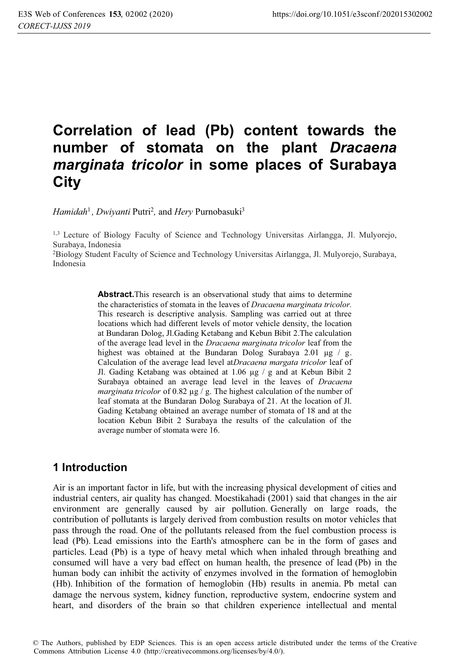# **Correlation of lead (Pb) content towards the number of stomata on the plant** *Dracaena marginata tricolor* **in some places of Surabaya City**

*Hamidah<sup>1</sup>, Dwiyanti* Putri<sup>2</sup>, and *Hery* Purnobasuki<sup>3</sup>

1,3 Lecture of Biology Faculty of Science and Technology Universitas Airlangga, Jl. Mulyorejo, Surabaya, Indonesia

2 Biology Student Faculty of Science and Technology Universitas Airlangga, Jl. Mulyorejo, Surabaya, Indonesia

> **Abstract.**This research is an observational study that aims to determine the characteristics of stomata in the leaves of *Dracaena marginata tricolor.* This research is descriptive analysis. Sampling was carried out at three locations which had different levels of motor vehicle density, the location at Bundaran Dolog, Jl.Gading Ketabang and Kebun Bibit 2.The calculation of the average lead level in the *Dracaena marginata tricolor* leaf from the highest was obtained at the Bundaran Dolog Surabaya 2.01 μg / g. Calculation of the average lead level at*Dracaena margata tricolor* leaf of Jl. Gading Ketabang was obtained at 1.06 μg / g and at Kebun Bibit 2 Surabaya obtained an average lead level in the leaves of *Dracaena marginata tricolor* of 0.82 μg / g. The highest calculation of the number of leaf stomata at the Bundaran Dolog Surabaya of 21. At the location of Jl. Gading Ketabang obtained an average number of stomata of 18 and at the location Kebun Bibit 2 Surabaya the results of the calculation of the average number of stomata were 16.

### **1 Introduction**

Air is an important factor in life, but with the increasing physical development of cities and industrial centers, air quality has changed. Moestikahadi (2001) said that changes in the air environment are generally caused by air pollution. Generally on large roads, the contribution of pollutants is largely derived from combustion results on motor vehicles that pass through the road. One of the pollutants released from the fuel combustion process is lead (Pb). Lead emissions into the Earth's atmosphere can be in the form of gases and particles. Lead (Pb) is a type of heavy metal which when inhaled through breathing and consumed will have a very bad effect on human health, the presence of lead (Pb) in the human body can inhibit the activity of enzymes involved in the formation of hemoglobin (Hb). Inhibition of the formation of hemoglobin (Hb) results in anemia. Pb metal can damage the nervous system, kidney function, reproductive system, endocrine system and heart, and disorders of the brain so that children experience intellectual and mental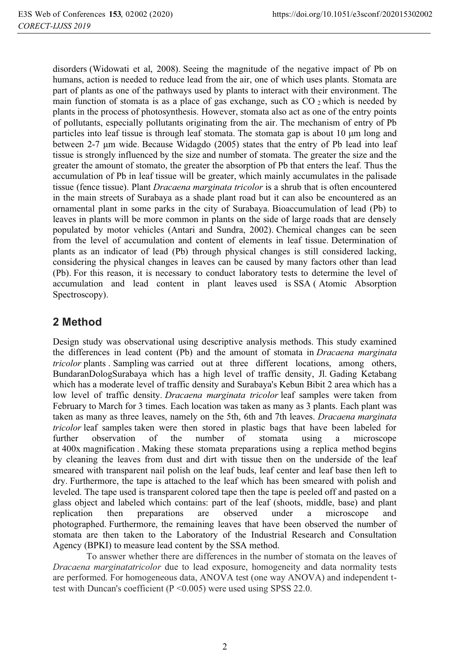disorders (Widowati et al, 2008). Seeing the magnitude of the negative impact of Pb on humans, action is needed to reduce lead from the air, one of which uses plants. Stomata are part of plants as one of the pathways used by plants to interact with their environment. The main function of stomata is as a place of gas exchange, such as  $CO_2$  which is needed by plants in the process of photosynthesis. However, stomata also act as one of the entry points of pollutants, especially pollutants originating from the air. The mechanism of entry of Pb particles into leaf tissue is through leaf stomata. The stomata gap is about 10 μm long and between 2-7 μm wide. Because Widagdo (2005) states that the entry of Pb lead into leaf tissue is strongly influenced by the size and number of stomata. The greater the size and the greater the amount of stomato, the greater the absorption of Pb that enters the leaf. Thus the accumulation of Pb in leaf tissue will be greater, which mainly accumulates in the palisade tissue (fence tissue). Plant *Dracaena marginata tricolor* is a shrub that is often encountered in the main streets of Surabaya as a shade plant road but it can also be encountered as an ornamental plant in some parks in the city of Surabaya. Bioaccumulation of lead (Pb) to leaves in plants will be more common in plants on the side of large roads that are densely populated by motor vehicles (Antari and Sundra, 2002). Chemical changes can be seen from the level of accumulation and content of elements in leaf tissue. Determination of plants as an indicator of lead (Pb) through physical changes is still considered lacking, considering the physical changes in leaves can be caused by many factors other than lead (Pb). For this reason, it is necessary to conduct laboratory tests to determine the level of accumulation and lead content in plant leaves used is SSA ( Atomic Absorption Spectroscopy).

## **2 Method**

Design study was observational using descriptive analysis methods. This study examined the differences in lead content (Pb) and the amount of stomata in *Dracaena marginata tricolor* plants . Sampling was carried out at three different locations, among others, BundaranDologSurabaya which has a high level of traffic density, Jl. Gading Ketabang which has a moderate level of traffic density and Surabaya's Kebun Bibit 2 area which has a low level of traffic density. *Dracaena marginata tricolor* leaf samples were taken from February to March for 3 times. Each location was taken as many as 3 plants. Each plant was taken as many as three leaves, namely on the 5th, 6th and 7th leaves. *Dracaena marginata tricolor* leaf samples taken were then stored in plastic bags that have been labeled for further observation of the number of stomata using a microscope at 400x magnification . Making these stomata preparations using a replica method begins by cleaning the leaves from dust and dirt with tissue then on the underside of the leaf smeared with transparent nail polish on the leaf buds, leaf center and leaf base then left to dry. Furthermore, the tape is attached to the leaf which has been smeared with polish and leveled. The tape used is transparent colored tape then the tape is peeled off and pasted on a glass object and labeled which contains: part of the leaf (shoots, middle, base) and plant replication then preparations are observed under a microscope and photographed. Furthermore, the remaining leaves that have been observed the number of stomata are then taken to the Laboratory of the Industrial Research and Consultation Agency (BPKI) to measure lead content by the SSA method.

To answer whether there are differences in the number of stomata on the leaves of *Dracaena marginatatricolor* due to lead exposure, homogeneity and data normality tests are performed. For homogeneous data, ANOVA test (one way ANOVA) and independent ttest with Duncan's coefficient (P <0.005) were used using SPSS 22.0.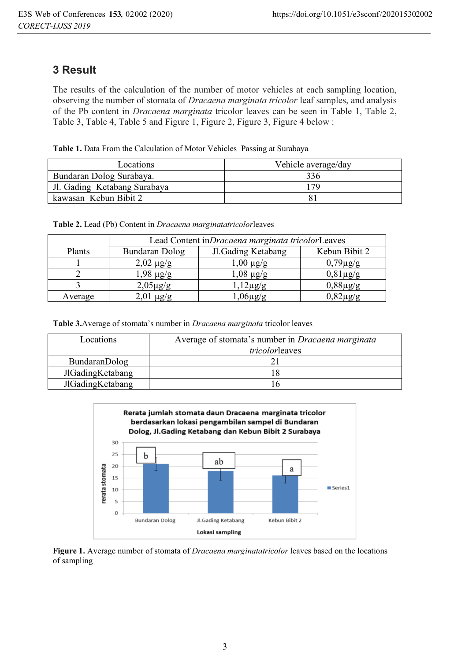## **3 Result**

The results of the calculation of the number of motor vehicles at each sampling location, observing the number of stomata of *Dracaena marginata tricolor* leaf samples, and analysis of the Pb content in *Dracaena marginata* tricolor leaves can be seen in Table 1, Table 2, Table 3, Table 4, Table 5 and Figure 1, Figure 2, Figure 3, Figure 4 below :

| Table 1. Data From the Calculation of Motor Vehicles Passing at Surabaya |  |  |
|--------------------------------------------------------------------------|--|--|
|                                                                          |  |  |

| Locations                    | Vehicle average/day |
|------------------------------|---------------------|
| Bundaran Dolog Surabaya.     | 336                 |
| Jl. Gading Ketabang Surabaya |                     |
| kawasan Kebun Bibit 2        |                     |

#### **Table 2.** Lead (Pb) Content in *Dracaena marginatatricolor*leaves

|         | Lead Content in <i>Dracaena marginata tricolor</i> Leaves |                    |                       |  |
|---------|-----------------------------------------------------------|--------------------|-----------------------|--|
| Plants  | Bundaran Dolog                                            | Jl.Gading Ketabang | Kebun Bibit 2         |  |
|         | $2,02 \mu g/g$                                            | $1,00 \mu$ g/g     | $0,79\mu$ g/g         |  |
|         | $1,98 \mu g/g$                                            | $1,08 \mu g/g$     | $0,81\,\mu\text{g/g}$ |  |
|         | $2,05\,\mu\text{g/g}$                                     | $12\mu g/g$        | $0,88\mu g/g$         |  |
| Average |                                                           |                    |                       |  |

**Table 3.**Average of stomata's number in *Dracaena marginata* tricolor leaves

| Locations        | Average of stomata's number in Dracaena marginata<br>tricolorleaves |
|------------------|---------------------------------------------------------------------|
| BundaranDolog    |                                                                     |
| JlGadingKetabang |                                                                     |
| JlGadingKetabang |                                                                     |



**Figure 1.** Average number of stomata of *Dracaena marginatatricolor* leaves based on the locations of sampling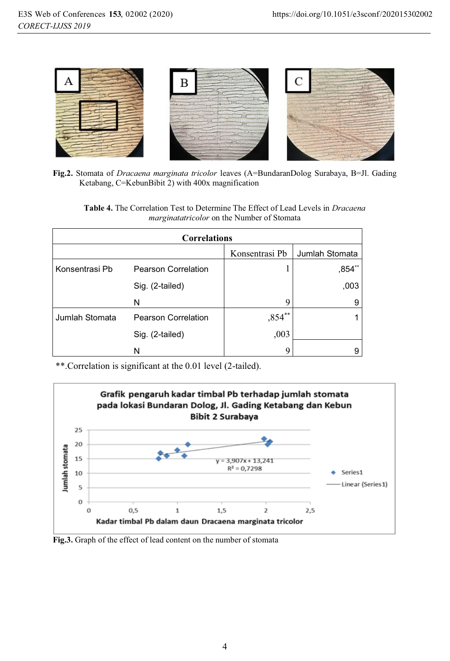

**Fig.2.** Stomata of *Dracaena marginata tricolor* leaves (A=BundaranDolog Surabaya, B=Jl. Gading Ketabang, C=KebunBibit 2) with 400x magnification

| <b>Table 4.</b> The Correlation Test to Determine The Effect of Lead Levels in <i>Dracaena</i> |  |  |
|------------------------------------------------------------------------------------------------|--|--|
| <i>marginatatricolor</i> on the Number of Stomata                                              |  |  |

| <b>Correlations</b> |                            |                |                |  |  |
|---------------------|----------------------------|----------------|----------------|--|--|
|                     |                            | Konsentrasi Pb | Jumlah Stomata |  |  |
| Konsentrasi Pb      | <b>Pearson Correlation</b> |                | $,854$ **      |  |  |
|                     | Sig. (2-tailed)            |                | ,003           |  |  |
|                     | N                          | 9              | 9              |  |  |
| Jumlah Stomata      | Pearson Correlation        | $,854^{**}$ l  |                |  |  |
|                     | Sig. (2-tailed)            | ,003           |                |  |  |
|                     | N                          | Q              | 9              |  |  |

\*\*.Correlation is significant at the 0.01 level (2-tailed).



**Fig.3.** Graph of the effect of lead content on the number of stomata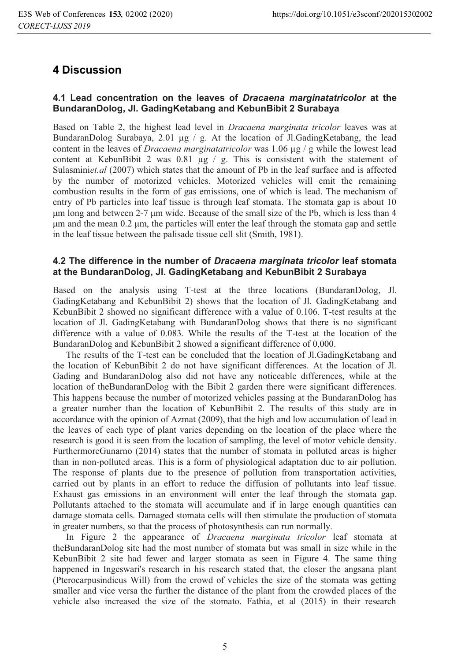## **4 Discussion**

#### **4.1 Lead concentration on the leaves of** *Dracaena marginatatricolor* **at the BundaranDolog, Jl. GadingKetabang and KebunBibit 2 Surabaya**

Based on Table 2, the highest lead level in *Dracaena marginata tricolor* leaves was at BundaranDolog Surabaya, 2.01 μg / g. At the location of Jl.GadingKetabang, the lead content in the leaves of *Dracaena marginatatricolor* was 1.06 μg / g while the lowest lead content at KebunBibit 2 was 0.81 μg / g. This is consistent with the statement of Sulasminiet.al (2007) which states that the amount of Pb in the leaf surface and is affected by the number of motorized vehicles. Motorized vehicles will emit the remaining combustion results in the form of gas emissions, one of which is lead. The mechanism of entry of Pb particles into leaf tissue is through leaf stomata. The stomata gap is about 10 μm long and between 2-7 μm wide. Because of the small size of the Pb, which is less than 4 μm and the mean 0.2 μm, the particles will enter the leaf through the stomata gap and settle in the leaf tissue between the palisade tissue cell slit (Smith, 1981).

#### **4.2 The difference in the number of** *Dracaena marginata tricolor* **leaf stomata at the BundaranDolog, Jl. GadingKetabang and KebunBibit 2 Surabaya**

Based on the analysis using T-test at the three locations (BundaranDolog, Jl. GadingKetabang and KebunBibit 2) shows that the location of Jl. GadingKetabang and KebunBibit 2 showed no significant difference with a value of 0.106. T-test results at the location of Jl. GadingKetabang with BundaranDolog shows that there is no significant difference with a value of 0.083. While the results of the T-test at the location of the BundaranDolog and KebunBibit 2 showed a significant difference of 0,000.

The results of the T-test can be concluded that the location of Jl.GadingKetabang and the location of KebunBibit 2 do not have significant differences. At the location of Jl. Gading and BundaranDolog also did not have any noticeable differences, while at the location of theBundaranDolog with the Bibit 2 garden there were significant differences. This happens because the number of motorized vehicles passing at the BundaranDolog has a greater number than the location of KebunBibit 2. The results of this study are in accordance with the opinion of Azmat (2009), that the high and low accumulation of lead in the leaves of each type of plant varies depending on the location of the place where the research is good it is seen from the location of sampling, the level of motor vehicle density. FurthermoreGunarno (2014) states that the number of stomata in polluted areas is higher than in non-polluted areas. This is a form of physiological adaptation due to air pollution. The response of plants due to the presence of pollution from transportation activities, carried out by plants in an effort to reduce the diffusion of pollutants into leaf tissue. Exhaust gas emissions in an environment will enter the leaf through the stomata gap. Pollutants attached to the stomata will accumulate and if in large enough quantities can damage stomata cells. Damaged stomata cells will then stimulate the production of stomata in greater numbers, so that the process of photosynthesis can run normally.

In Figure 2 the appearance of *Dracaena marginata tricolor* leaf stomata at theBundaranDolog site had the most number of stomata but was small in size while in the KebunBibit 2 site had fewer and larger stomata as seen in Figure 4. The same thing happened in Ingeswari's research in his research stated that, the closer the angsana plant (Pterocarpusindicus Will) from the crowd of vehicles the size of the stomata was getting smaller and vice versa the further the distance of the plant from the crowded places of the vehicle also increased the size of the stomato. Fathia, et al (2015) in their research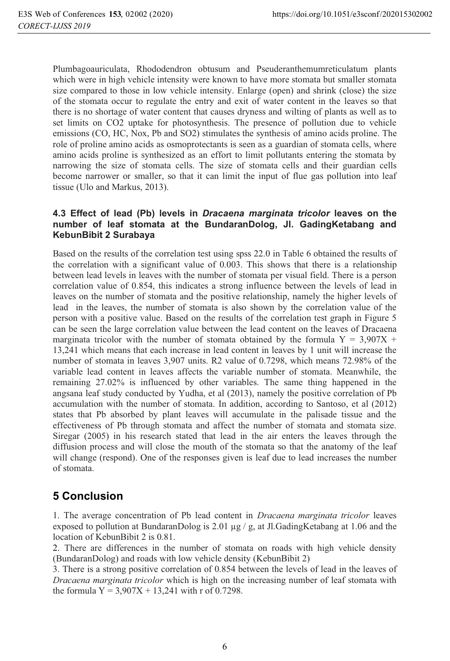Plumbagoauriculata, Rhododendron obtusum and Pseuderanthemumreticulatum plants which were in high vehicle intensity were known to have more stomata but smaller stomata size compared to those in low vehicle intensity. Enlarge (open) and shrink (close) the size of the stomata occur to regulate the entry and exit of water content in the leaves so that there is no shortage of water content that causes dryness and wilting of plants as well as to set limits on CO2 uptake for photosynthesis. The presence of pollution due to vehicle emissions (CO, HC, Nox, Pb and SO2) stimulates the synthesis of amino acids proline. The role of proline amino acids as osmoprotectants is seen as a guardian of stomata cells, where amino acids proline is synthesized as an effort to limit pollutants entering the stomata by narrowing the size of stomata cells. The size of stomata cells and their guardian cells become narrower or smaller, so that it can limit the input of flue gas pollution into leaf tissue (Ulo and Markus, 2013).

#### **4.3 Effect of lead (Pb) levels in** *Dracaena marginata tricolor* **leaves on the number of leaf stomata at the BundaranDolog, Jl. GadingKetabang and KebunBibit 2 Surabaya**

Based on the results of the correlation test using spss 22.0 in Table 6 obtained the results of the correlation with a significant value of 0.003. This shows that there is a relationship between lead levels in leaves with the number of stomata per visual field. There is a person correlation value of 0.854, this indicates a strong influence between the levels of lead in leaves on the number of stomata and the positive relationship, namely the higher levels of lead in the leaves, the number of stomata is also shown by the correlation value of the person with a positive value. Based on the results of the correlation test graph in Figure 5 can be seen the large correlation value between the lead content on the leaves of Dracaena marginata tricolor with the number of stomata obtained by the formula  $Y = 3.907X +$ 13,241 which means that each increase in lead content in leaves by 1 unit will increase the number of stomata in leaves 3,907 units. R2 value of 0.7298, which means 72.98% of the variable lead content in leaves affects the variable number of stomata. Meanwhile, the remaining 27.02% is influenced by other variables. The same thing happened in the angsana leaf study conducted by Yudha, et al (2013), namely the positive correlation of Pb accumulation with the number of stomata. In addition, according to Santoso, et al (2012) states that Pb absorbed by plant leaves will accumulate in the palisade tissue and the effectiveness of Pb through stomata and affect the number of stomata and stomata size. Siregar (2005) in his research stated that lead in the air enters the leaves through the diffusion process and will close the mouth of the stomata so that the anatomy of the leaf will change (respond). One of the responses given is leaf due to lead increases the number of stomata.

## **5 Conclusion**

1. The average concentration of Pb lead content in *Dracaena marginata tricolor* leaves exposed to pollution at BundaranDolog is 2.01  $\mu$ g/g, at Jl.GadingKetabang at 1.06 and the location of KebunBibit 2 is 0.81.

2. There are differences in the number of stomata on roads with high vehicle density (BundaranDolog) and roads with low vehicle density (KebunBibit 2)

3. There is a strong positive correlation of 0.854 between the levels of lead in the leaves of *Dracaena marginata tricolor* which is high on the increasing number of leaf stomata with the formula  $Y = 3,907X + 13,241$  with r of 0.7298.